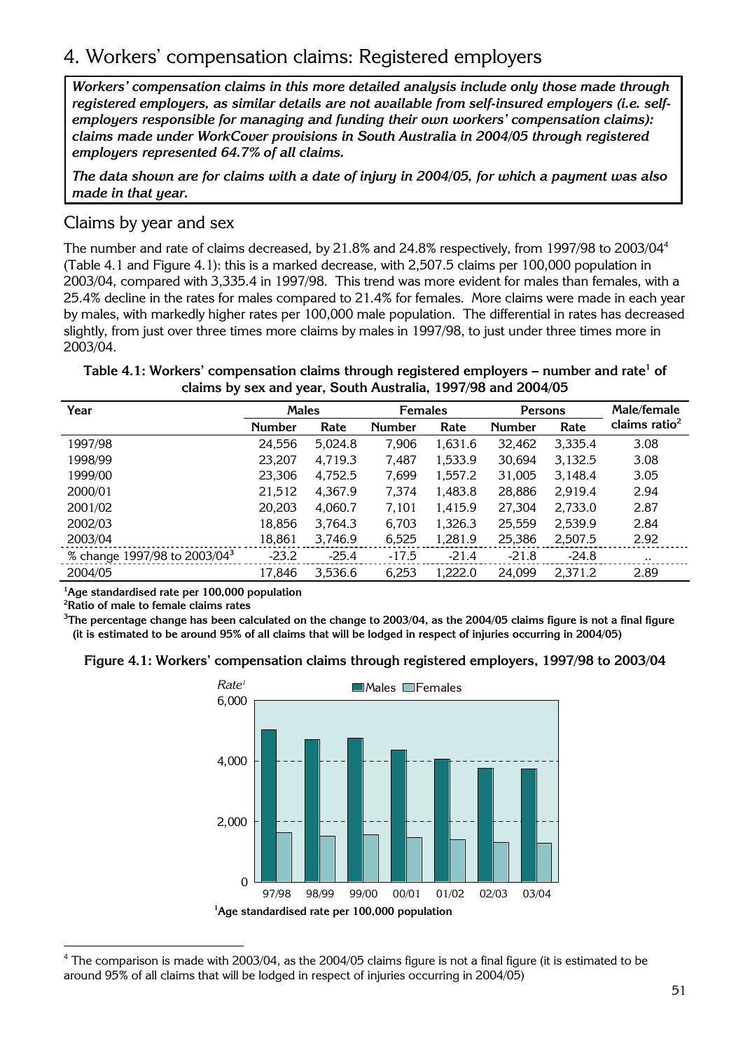# 4. Workers' compensation claims: Registered employers

*Workers' compensation claims in this more detailed analysis include only those made through registered employers, as similar details are not available from self-insured employers (i.e. selfemployers responsible for managing and funding their own workers' compensation claims): claims made under WorkCover provisions in South Australia in 2004/05 through registered employers represented 64.7% of all claims.* 

*The data shown are for claims with a date of injury in 2004/05, for which a payment was also made in that year.* 

## Claims by year and sex

The number and rate of claims decreased, by 21.8% and 24.8% respectively, from 1997/98 to 2003/04<sup>4</sup> (Table 4.1 and Figure 4.1): this is a marked decrease, with 2,507.5 claims per 100,000 population in 2003/04, compared with 3,335.4 in 1997/98. This trend was more evident for males than females, with a 25.4% decline in the rates for males compared to 21.4% for females. More claims were made in each year by males, with markedly higher rates per 100,000 male population. The differential in rates has decreased slightly, from just over three times more claims by males in 1997/98, to just under three times more in 2003/04.

**Table 4.1: Workers' compensation claims through registered employers – number and rate<sup>1</sup> of claims by sex and year, South Australia, 1997/98 and 2004/05** 

| Year                                     | <b>Males</b>  |         | <b>Females</b> |         | Persons       |         | Male/female      |
|------------------------------------------|---------------|---------|----------------|---------|---------------|---------|------------------|
|                                          | <b>Number</b> | Rate    | <b>Number</b>  | Rate    | <b>Number</b> | Rate    | claims ratio $2$ |
| 1997/98                                  | 24,556        | 5,024.8 | 7,906          | 1,631.6 | 32,462        | 3,335.4 | 3.08             |
| 1998/99                                  | 23,207        | 4,719.3 | 7.487          | 1,533.9 | 30,694        | 3,132.5 | 3.08             |
| 1999/00                                  | 23,306        | 4,752.5 | 7.699          | 1,557.2 | 31,005        | 3.148.4 | 3.05             |
| 2000/01                                  | 21,512        | 4,367.9 | 7,374          | 1,483.8 | 28,886        | 2,919.4 | 2.94             |
| 2001/02                                  | 20,203        | 4,060.7 | 7.101          | 1,415.9 | 27,304        | 2,733.0 | 2.87             |
| 2002/03                                  | 18,856        | 3,764.3 | 6,703          | 1,326.3 | 25,559        | 2,539.9 | 2.84             |
| 2003/04                                  | 18,861        | 3,746.9 | 6,525          | 1,281.9 | 25,386        | 2,507.5 | 2.92             |
| % change 1997/98 to 2003/04 <sup>3</sup> | $-23.2$       | $-25.4$ | $-17.5$        | $-21.4$ | $-21.8$       | $-24.8$ | $\cdot \cdot$    |
| 2004/05                                  | 17,846        | 3,536.6 | 6,253          | 1,222.0 | 24,099        | 2,371.2 | 2.89             |

**1 Age standardised rate per 100,000 population** 

**2 Ratio of male to female claims rates** 

 $^3$ The percentage change has been calculated on the change to 2003/04, as the 2004/05 claims figure is not a final figure **(it is estimated to be around 95% of all claims that will be lodged in respect of injuries occurring in 2004/05)** 

**Figure 4.1: Workers' compensation claims through registered employers, 1997/98 to 2003/04**



<sup>&</sup>lt;sup>4</sup> The comparison is made with 2003/04, as the 2004/05 claims figure is not a final figure (it is estimated to be around 95% of all claims that will be lodged in respect of injuries occurring in 2004/05)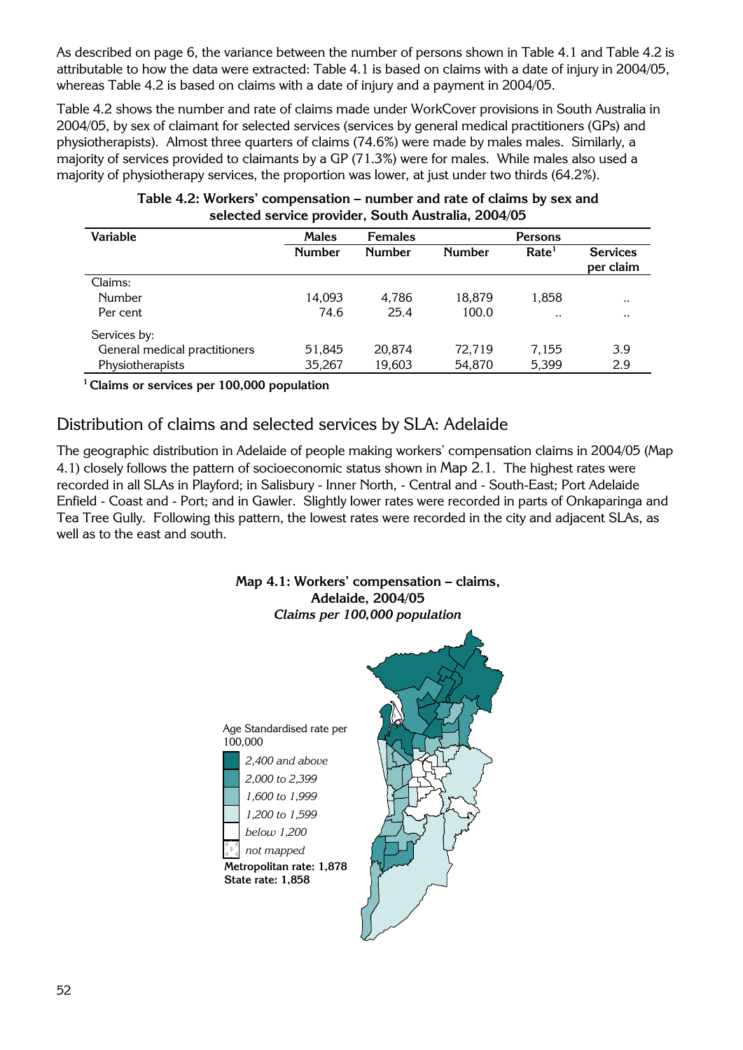As described on page 6, the variance between the number of persons shown in Table 4.1 and Table 4.2 is attributable to how the data were extracted: Table 4.1 is based on claims with a date of injury in 2004/05, whereas Table 4.2 is based on claims with a date of injury and a payment in 2004/05.

Table 4.2 shows the number and rate of claims made under WorkCover provisions in South Australia in 2004/05, by sex of claimant for selected services (services by general medical practitioners (GPs) and physiotherapists). Almost three quarters of claims (74.6%) were made by males males. Similarly, a majority of services provided to claimants by a GP (71.3%) were for males. While males also used a majority of physiotherapy services, the proportion was lower, at just under two thirds (64.2%).

| <b>Services</b> |
|-----------------|
| per claim       |
|                 |
| $\cdot \cdot$   |
| $\cdot \cdot$   |
|                 |
| 3.9             |
| 2.9             |
|                 |

#### **Table 4.2: Workers' compensation – number and rate of claims by sex and selected service provider, South Australia, 2004/05**

**<sup>1</sup> Claims or services per 100,000 population** 

## Distribution of claims and selected services by SLA: Adelaide

The geographic distribution in Adelaide of people making workers' compensation claims in 2004/05 (Map 4.1) closely follows the pattern of socioeconomic status shown in Map 2.1. The highest rates were recorded in all SLAs in Playford; in Salisbury - Inner North, - Central and - South-East; Port Adelaide Enfield - Coast and - Port; and in Gawler. Slightly lower rates were recorded in parts of Onkaparinga and Tea Tree Gully. Following this pattern, the lowest rates were recorded in the city and adjacent SLAs, as well as to the east and south.

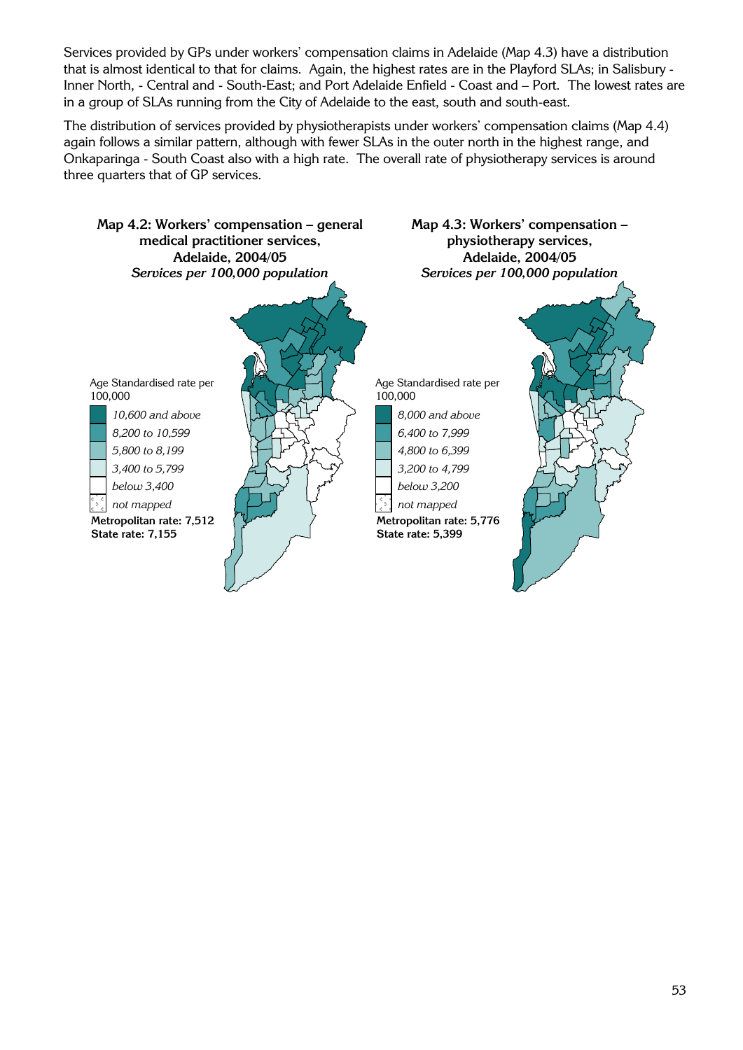Services provided by GPs under workers' compensation claims in Adelaide (Map 4.3) have a distribution that is almost identical to that for claims. Again, the highest rates are in the Playford SLAs; in Salisbury - Inner North, - Central and - South-East; and Port Adelaide Enfield - Coast and – Port. The lowest rates are in a group of SLAs running from the City of Adelaide to the east, south and south-east.

The distribution of services provided by physiotherapists under workers' compensation claims (Map 4.4) again follows a similar pattern, although with fewer SLAs in the outer north in the highest range, and Onkaparinga - South Coast also with a high rate. The overall rate of physiotherapy services is around three quarters that of GP services.

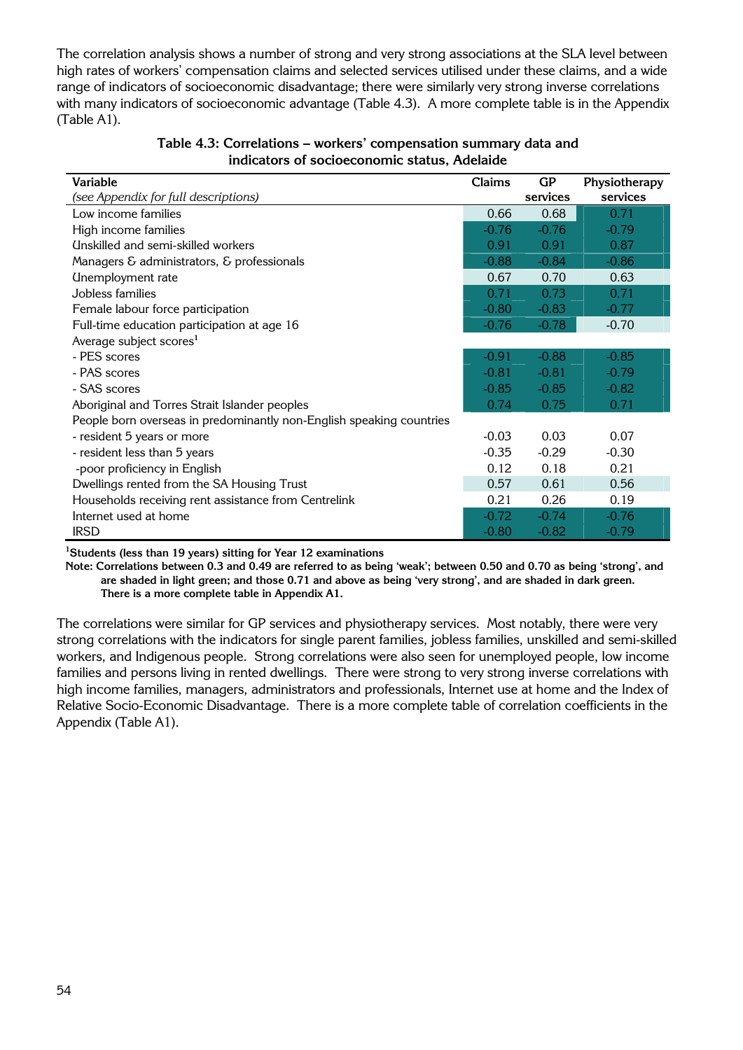The correlation analysis shows a number of strong and very strong associations at the SLA level between high rates of workers' compensation claims and selected services utilised under these claims, and a wide range of indicators of socioeconomic disadvantage; there were similarly very strong inverse correlations with many indicators of socioeconomic advantage (Table 4.3). A more complete table is in the Appendix (Table A1).

| Variable                                                             | Claims  | GP       | Physiotherapy |
|----------------------------------------------------------------------|---------|----------|---------------|
| (see Appendix for full descriptions)                                 |         | services | services      |
| Low income families                                                  | 0.66    | 0.68     | 0.71          |
| High income families                                                 | $-0.76$ | $-0.76$  | $-0.79$       |
| Unskilled and semi-skilled workers                                   | 0.91    | 0.91     | 0.87          |
| Managers & administrators, & professionals                           | $-0.88$ | $-0.84$  | $-0.86$       |
| Unemployment rate                                                    | 0.67    | 0.70     | 0.63          |
| Jobless families                                                     | 0.71    | 0.73     | 0.71          |
| Female labour force participation                                    | $-0.80$ | $-0.83$  | $-0.77$       |
| Full-time education participation at age 16                          | $-0.76$ | $-0.78$  | $-0.70$       |
| Average subject scores <sup>1</sup>                                  |         |          |               |
| - PES scores                                                         | $-0.91$ | $-0.88$  | $-0.85$       |
| - PAS scores                                                         | $-0.81$ | $-0.81$  | $-0.79$       |
| - SAS scores                                                         | $-0.85$ | $-0.85$  | $-0.82$       |
| Aboriginal and Torres Strait Islander peoples                        | 0.74    | 0.75     | 0.71          |
| People born overseas in predominantly non-English speaking countries |         |          |               |
| - resident 5 years or more                                           | $-0.03$ | 0.03     | 0.07          |
| - resident less than 5 years                                         | $-0.35$ | $-0.29$  | $-0.30$       |
| -poor proficiency in English                                         | 0.12    | 0.18     | 0.21          |
| Dwellings rented from the SA Housing Trust                           | 0.57    | 0.61     | 0.56          |
| Households receiving rent assistance from Centrelink                 | 0.21    | 0.26     | 0.19          |
| Internet used at home                                                | $-0.72$ | $-0.74$  | $-0.76$       |
| <b>IRSD</b>                                                          | $-0.80$ | $-0.82$  | $-0.79$       |

**Table 4.3: Correlations – workers' compensation summary data and indicators of socioeconomic status, Adelaide** 

**1 Students (less than 19 years) sitting for Year 12 examinations** 

**Note: Correlations between 0.3 and 0.49 are referred to as being 'weak'; between 0.50 and 0.70 as being 'strong', and are shaded in light green; and those 0.71 and above as being 'very strong', and are shaded in dark green. There is a more complete table in Appendix A1.** 

The correlations were similar for GP services and physiotherapy services. Most notably, there were very strong correlations with the indicators for single parent families, jobless families, unskilled and semi-skilled workers, and Indigenous people. Strong correlations were also seen for unemployed people, low income families and persons living in rented dwellings. There were strong to very strong inverse correlations with high income families, managers, administrators and professionals, Internet use at home and the Index of Relative Socio-Economic Disadvantage. There is a more complete table of correlation coefficients in the Appendix (Table A1).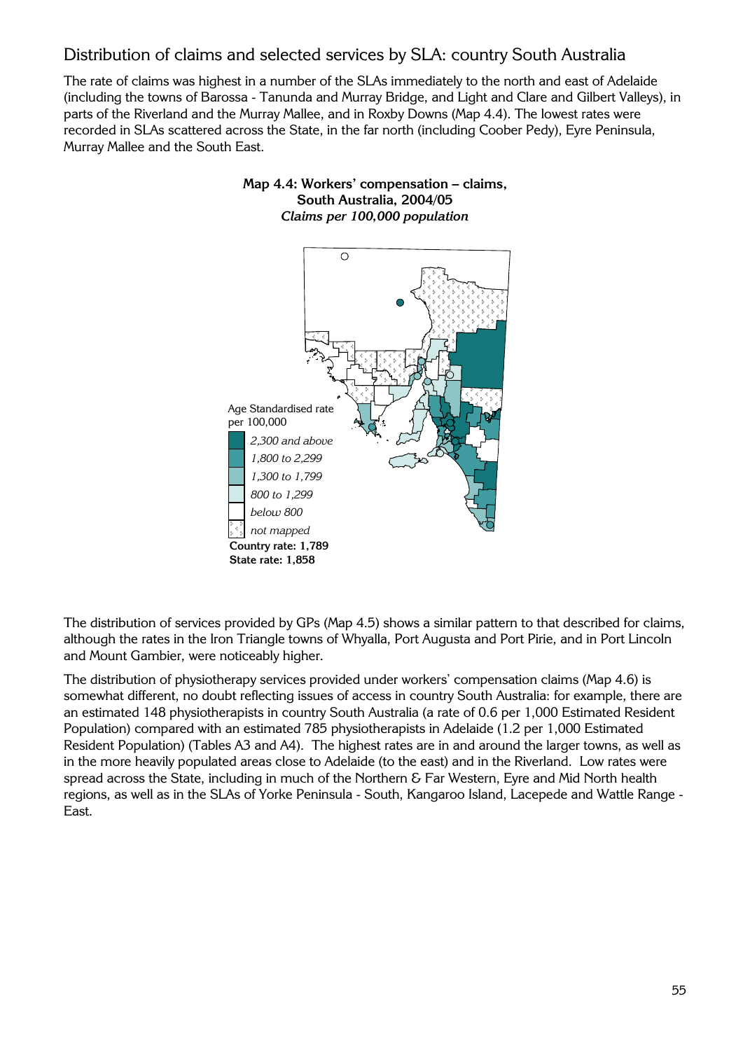## Distribution of claims and selected services by SLA: country South Australia

The rate of claims was highest in a number of the SLAs immediately to the north and east of Adelaide (including the towns of Barossa - Tanunda and Murray Bridge, and Light and Clare and Gilbert Valleys), in parts of the Riverland and the Murray Mallee, and in Roxby Downs (Map 4.4). The lowest rates were recorded in SLAs scattered across the State, in the far north (including Coober Pedy), Eyre Peninsula, Murray Mallee and the South East.

#### **Map 4.4: Workers' compensation – claims, South Australia, 2004/05**  *Claims per 100,000 population*



The distribution of services provided by GPs (Map 4.5) shows a similar pattern to that described for claims, although the rates in the Iron Triangle towns of Whyalla, Port Augusta and Port Pirie, and in Port Lincoln and Mount Gambier, were noticeably higher.

The distribution of physiotherapy services provided under workers' compensation claims (Map 4.6) is somewhat different, no doubt reflecting issues of access in country South Australia: for example, there are an estimated 148 physiotherapists in country South Australia (a rate of 0.6 per 1,000 Estimated Resident Population) compared with an estimated 785 physiotherapists in Adelaide (1.2 per 1,000 Estimated Resident Population) (Tables A3 and A4). The highest rates are in and around the larger towns, as well as in the more heavily populated areas close to Adelaide (to the east) and in the Riverland. Low rates were spread across the State, including in much of the Northern & Far Western, Eyre and Mid North health regions, as well as in the SLAs of Yorke Peninsula - South, Kangaroo Island, Lacepede and Wattle Range - East.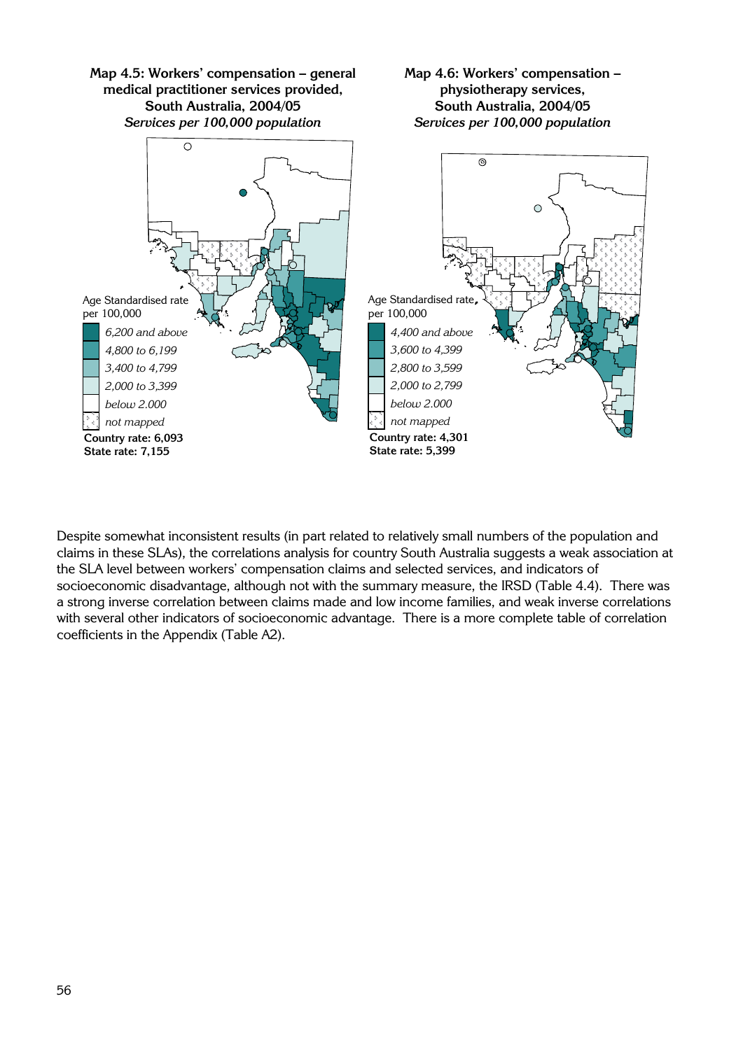

Despite somewhat inconsistent results (in part related to relatively small numbers of the population and claims in these SLAs), the correlations analysis for country South Australia suggests a weak association at the SLA level between workers' compensation claims and selected services, and indicators of socioeconomic disadvantage, although not with the summary measure, the IRSD (Table 4.4). There was a strong inverse correlation between claims made and low income families, and weak inverse correlations with several other indicators of socioeconomic advantage. There is a more complete table of correlation coefficients in the Appendix (Table A2).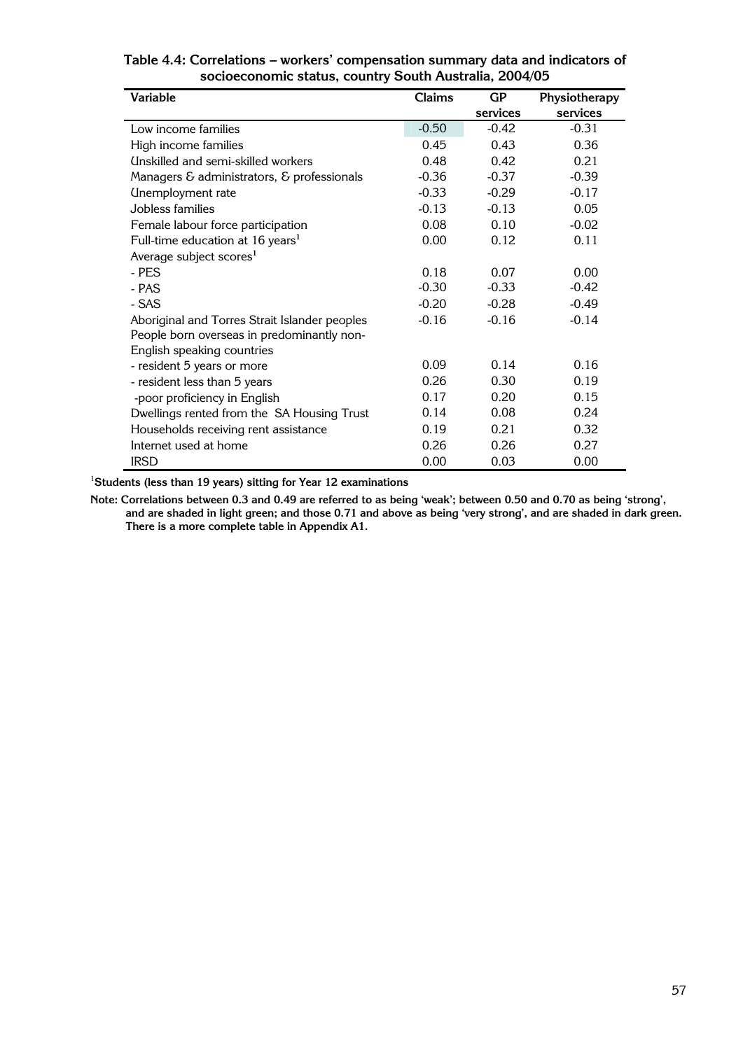| <b>Variable</b>                               | <b>Claims</b> | GP       | Physiotherapy |
|-----------------------------------------------|---------------|----------|---------------|
|                                               |               | services | services      |
| Low income families                           | $-0.50$       | $-0.42$  | $-0.31$       |
| High income families                          | 0.45          | 0.43     | 0.36          |
| Unskilled and semi-skilled workers            | 0.48          | 0.42     | 0.21          |
| Managers & administrators, & professionals    | $-0.36$       | $-0.37$  | $-0.39$       |
| Unemployment rate                             | $-0.33$       | $-0.29$  | $-0.17$       |
| Jobless families                              | $-0.13$       | $-0.13$  | 0.05          |
| Female labour force participation             | 0.08          | 0.10     | $-0.02$       |
| Full-time education at 16 years <sup>1</sup>  | 0.00          | 0.12     | 0.11          |
| Average subject scores <sup>1</sup>           |               |          |               |
| - PES                                         | 0.18          | 0.07     | 0.00          |
| - PAS                                         | $-0.30$       | $-0.33$  | $-0.42$       |
| - SAS                                         | $-0.20$       | $-0.28$  | $-0.49$       |
| Aboriginal and Torres Strait Islander peoples | $-0.16$       | $-0.16$  | $-0.14$       |
| People born overseas in predominantly non-    |               |          |               |
| English speaking countries                    |               |          |               |
| - resident 5 years or more                    | 0.09          | 0.14     | 0.16          |
| - resident less than 5 years                  | 0.26          | 0.30     | 0.19          |
| -poor proficiency in English                  | 0.17          | 0.20     | 0.15          |
| Dwellings rented from the SA Housing Trust    | 0.14          | 0.08     | 0.24          |
| Households receiving rent assistance          | 0.19          | 0.21     | 0.32          |
| Internet used at home                         | 0.26          | 0.26     | 0.27          |
| <b>IRSD</b>                                   | 0.00          | 0.03     | 0.00          |

#### **Table 4.4: Correlations – workers' compensation summary data and indicators of socioeconomic status, country South Australia, 2004/05**

1 **Students (less than 19 years) sitting for Year 12 examinations** 

**Note: Correlations between 0.3 and 0.49 are referred to as being 'weak'; between 0.50 and 0.70 as being 'strong', and are shaded in light green; and those 0.71 and above as being 'very strong', and are shaded in dark green. There is a more complete table in Appendix A1.**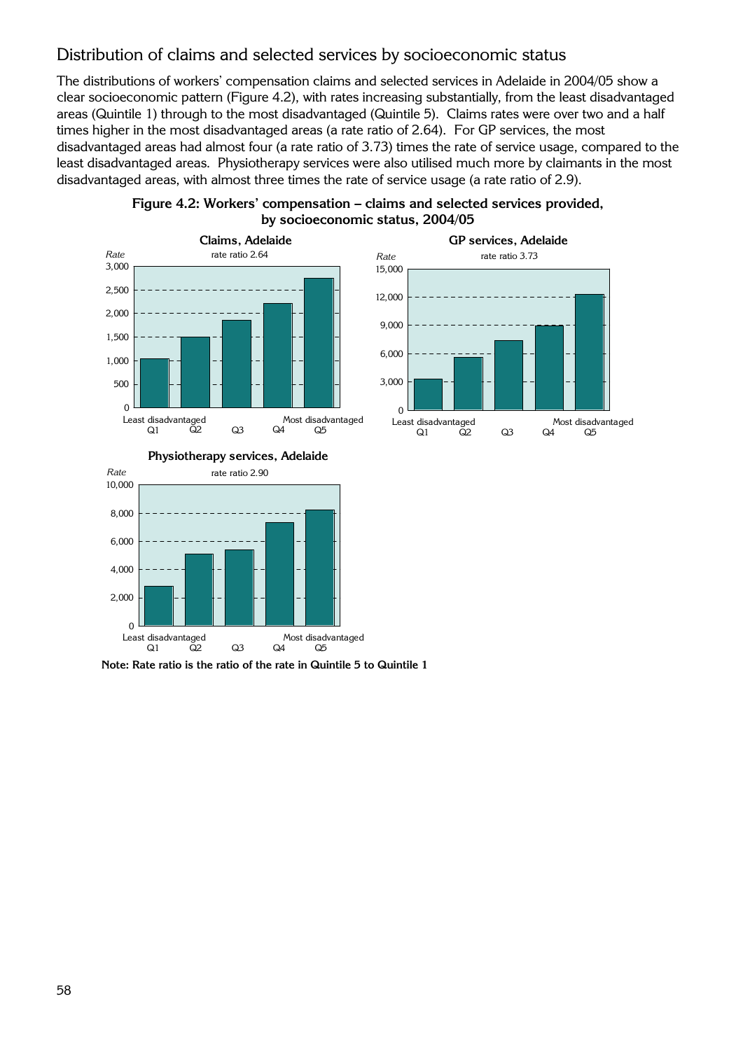## Distribution of claims and selected services by socioeconomic status

The distributions of workers' compensation claims and selected services in Adelaide in 2004/05 show a clear socioeconomic pattern (Figure 4.2), with rates increasing substantially, from the least disadvantaged areas (Quintile 1) through to the most disadvantaged (Quintile 5). Claims rates were over two and a half times higher in the most disadvantaged areas (a rate ratio of 2.64). For GP services, the most disadvantaged areas had almost four (a rate ratio of 3.73) times the rate of service usage, compared to the least disadvantaged areas. Physiotherapy services were also utilised much more by claimants in the most disadvantaged areas, with almost three times the rate of service usage (a rate ratio of 2.9).

**Figure 4.2: Workers' compensation – claims and selected services provided,** 





#### **Physiotherapy services, Adelaide**



**Note: Rate ratio is the ratio of the rate in Quintile 5 to Quintile 1**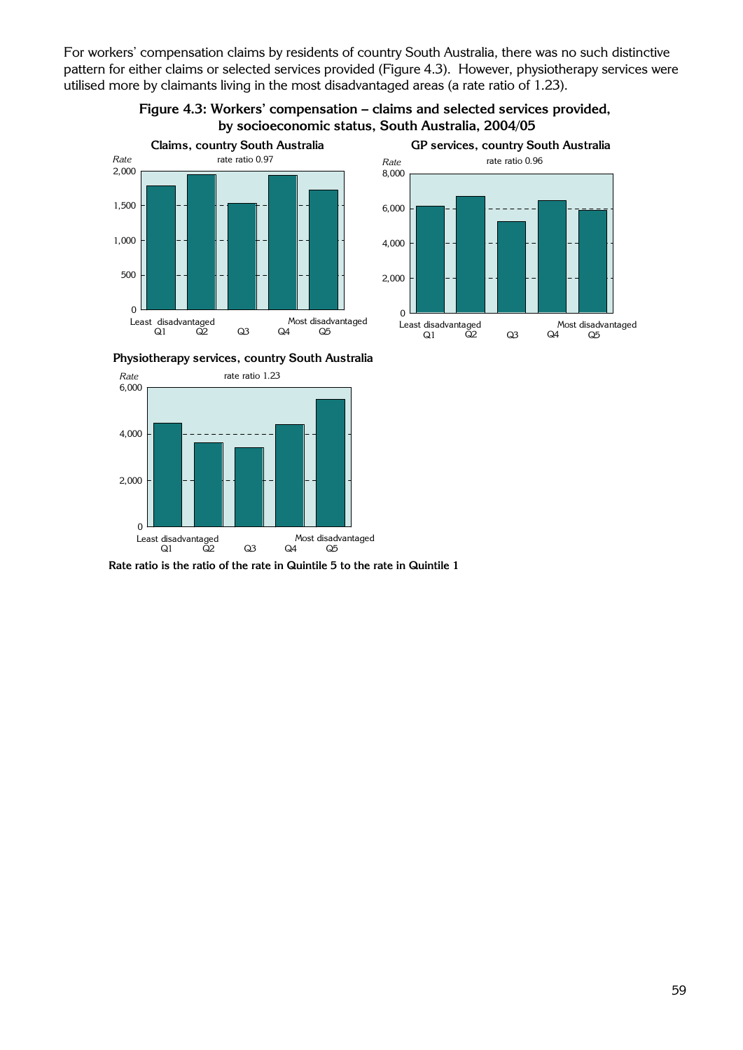For workers' compensation claims by residents of country South Australia, there was no such distinctive pattern for either claims or selected services provided (Figure 4.3). However, physiotherapy services were utilised more by claimants living in the most disadvantaged areas (a rate ratio of 1.23).







**Physiotherapy services, country South Australia**



**Rate ratio is the ratio of the rate in Quintile 5 to the rate in Quintile 1**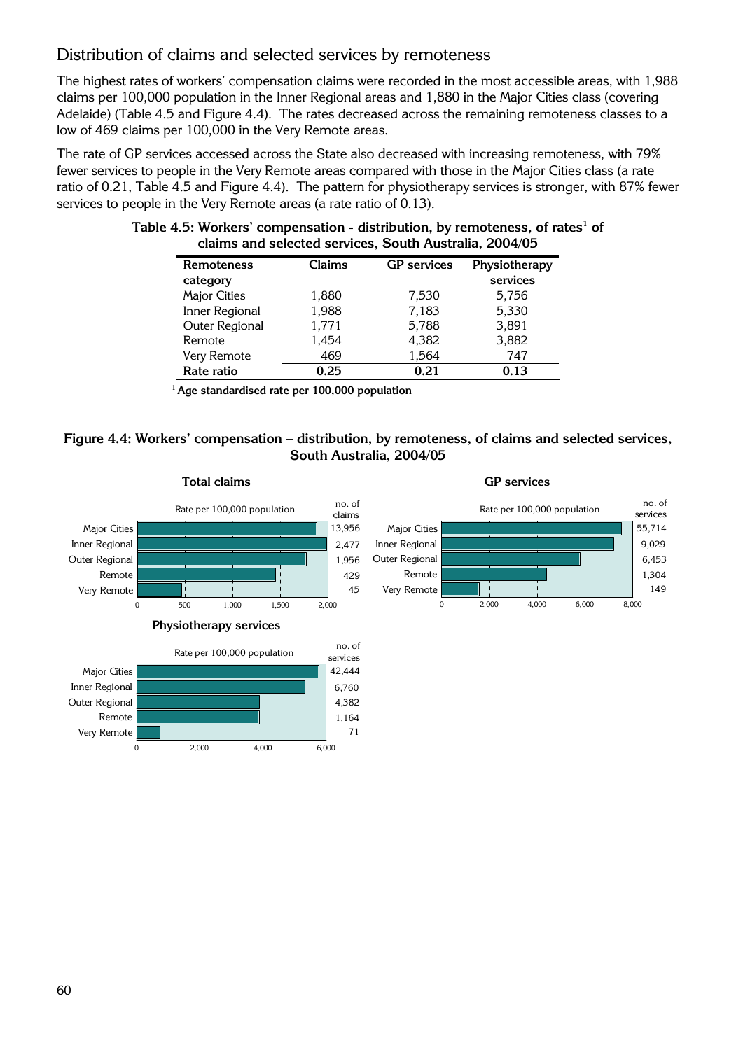## Distribution of claims and selected services by remoteness

The highest rates of workers' compensation claims were recorded in the most accessible areas, with 1,988 claims per 100,000 population in the Inner Regional areas and 1,880 in the Major Cities class (covering Adelaide) (Table 4.5 and Figure 4.4). The rates decreased across the remaining remoteness classes to a low of 469 claims per 100,000 in the Very Remote areas.

The rate of GP services accessed across the State also decreased with increasing remoteness, with 79% fewer services to people in the Very Remote areas compared with those in the Major Cities class (a rate ratio of 0.21, Table 4.5 and Figure 4.4). The pattern for physiotherapy services is stronger, with 87% fewer services to people in the Very Remote areas (a rate ratio of 0.13).

| <b>Remoteness</b>   | Claims | <b>GP</b> services | Physiotherapy |
|---------------------|--------|--------------------|---------------|
| category            |        |                    | services      |
| <b>Major Cities</b> | 1.880  | 7.530              | 5,756         |
| Inner Regional      | 1,988  | 7,183              | 5,330         |
| Outer Regional      | 1,771  | 5,788              | 3,891         |
| Remote              | 1,454  | 4,382              | 3,882         |
| Very Remote         | 469    | 1,564              | 747           |
| Rate ratio          | 0.25   | 0.21               | 0.13          |

#### Table 4.5: Workers' compensation - distribution, by remoteness, of rates<sup>1</sup> of **claims and selected services, South Australia, 2004/05**

**<sup>1</sup> Age standardised rate per 100,000 population** 

### **Figure 4.4: Workers' compensation – distribution, by remoteness, of claims and selected services, South Australia, 2004/05**

55,714 9,029 6,453 1,304 149

no. of

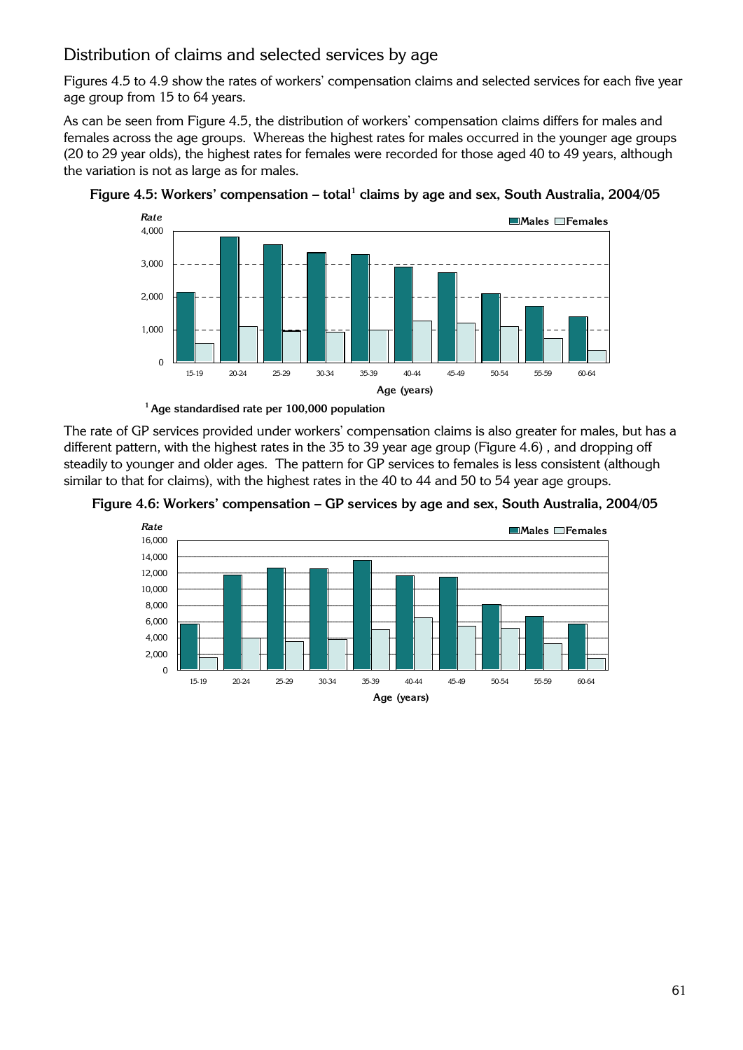## Distribution of claims and selected services by age

Figures 4.5 to 4.9 show the rates of workers' compensation claims and selected services for each five year age group from 15 to 64 years.

As can be seen from Figure 4.5, the distribution of workers' compensation claims differs for males and females across the age groups. Whereas the highest rates for males occurred in the younger age groups (20 to 29 year olds), the highest rates for females were recorded for those aged 40 to 49 years, although the variation is not as large as for males.





**<sup>1</sup> Age standardised rate per 100,000 population** 

The rate of GP services provided under workers' compensation claims is also greater for males, but has a different pattern, with the highest rates in the 35 to 39 year age group (Figure 4.6) , and dropping off steadily to younger and older ages. The pattern for GP services to females is less consistent (although similar to that for claims), with the highest rates in the 40 to 44 and 50 to 54 year age groups.



**Figure 4.6: Workers' compensation – GP services by age and sex, South Australia, 2004/05**